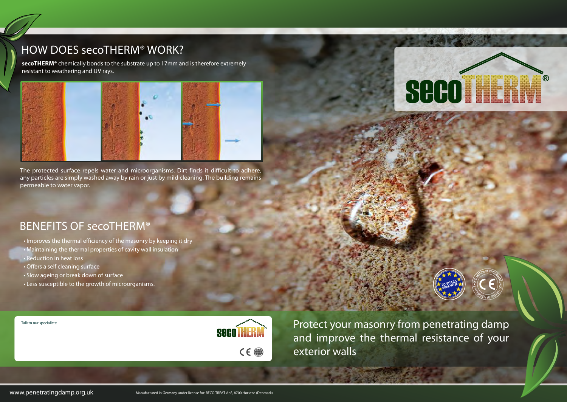#### HOW DOES secoTHERM® WORK?

The protected surface repels water and microorganisms. Dirt finds it difficult to adhere, any particles are simply washed away by rain or just by mild cleaning. The building remains permeable to water vapor.

> Protect your masonry from penetrating damp and improve the thermal resistance of your exterior walls

- Improves the thermal efficiency of the masonry by keeping it dry
- Maintaining the thermal properties of cavity wall insulation
- Reduction in heat loss
- Offers a self cleaning surface
- Slow ageing or break down of surface
- Less susceptible to the growth of microorganisms.

**SOCOTHERM**  $C \in \bigcirc$ 

#### BENEFITS OF secoTHERM®

**secoTHERM®** chemically bonds to the substrate up to 17mm and is therefore extremely resistant to weathering and UV rays.







**20 YEARS 20 YEANTEE** 

Talk to our specialists: